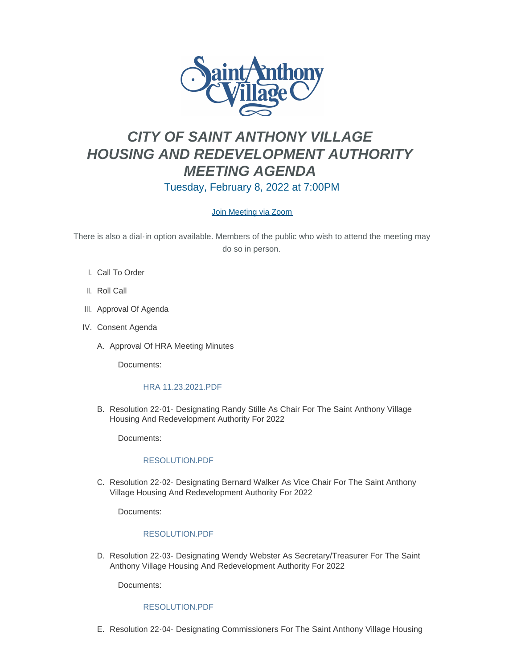

# *CITY OF SAINT ANTHONY VILLAGE HOUSING AND REDEVELOPMENT AUTHORITY MEETING AGENDA*

Tuesday, February 8, 2022 at 7:00PM

# [Join Meeting via Zoom](https://www.savmn.com/Calendar.aspx?EID=1566)

There is also a dial-in option available. Members of the public who wish to attend the meeting may do so in person.

- l. Call To Order
- II. Roll Call
- III. Approval Of Agenda
- IV. Consent Agenda
	- A. Approval Of HRA Meeting Minutes

Documents:

## [HRA 11.23.2021.PDF](http://www.savmn.com/AgendaCenter/ViewFile/Item/666?fileID=6563)

B. Resolution 22-01- Designating Randy Stille As Chair For The Saint Anthony Village Housing And Redevelopment Authority For 2022

Documents:

#### [RESOLUTION.PDF](http://www.savmn.com/AgendaCenter/ViewFile/Item/662?fileID=6559)

C. Resolution 22-02- Designating Bernard Walker As Vice Chair For The Saint Anthony Village Housing And Redevelopment Authority For 2022

Documents:

### [RESOLUTION.PDF](http://www.savmn.com/AgendaCenter/ViewFile/Item/663?fileID=6560)

D. Resolution 22-03- Designating Wendy Webster As Secretary/Treasurer For The Saint Anthony Village Housing And Redevelopment Authority For 2022

Documents:

#### [RESOLUTION.PDF](http://www.savmn.com/AgendaCenter/ViewFile/Item/664?fileID=6561)

E. Resolution 22-04- Designating Commissioners For The Saint Anthony Village Housing